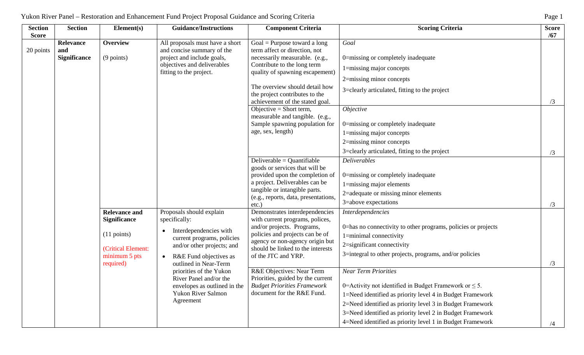| <b>Section</b><br><b>Score</b> | <b>Section</b>                          | Element(s)                                                                                                                  | <b>Guidance/Instructions</b>                                                                                                                                                       | <b>Component Criteria</b>                                                                                                                                                                                                                                                                                                                                                                     | <b>Scoring Criteria</b>                                                                                                                                                                                                                                                                                                | <b>Score</b><br>/67 |
|--------------------------------|-----------------------------------------|-----------------------------------------------------------------------------------------------------------------------------|------------------------------------------------------------------------------------------------------------------------------------------------------------------------------------|-----------------------------------------------------------------------------------------------------------------------------------------------------------------------------------------------------------------------------------------------------------------------------------------------------------------------------------------------------------------------------------------------|------------------------------------------------------------------------------------------------------------------------------------------------------------------------------------------------------------------------------------------------------------------------------------------------------------------------|---------------------|
| 20 points                      | Relevance<br>and<br><b>Significance</b> | <b>Overview</b><br>$(9 \text{ points})$                                                                                     | All proposals must have a short<br>and concise summary of the<br>project and include goals,<br>objectives and deliverables<br>fitting to the project.                              | Goal = Purpose toward a long<br>term affect or direction, not<br>necessarily measurable. (e.g.,<br>Contribute to the long term<br>quality of spawning escapement)<br>The overview should detail how<br>the project contributes to the<br>achievement of the stated goal.<br>Objective = Short term,<br>measurable and tangible. (e.g.,<br>Sample spawning population for<br>age, sex, length) | Goal<br>0=missing or completely inadequate<br>1=missing major concepts<br>2=missing minor concepts<br>3=clearly articulated, fitting to the project<br><i>Objective</i><br>0=missing or completely inadequate<br>1=missing major concepts<br>2=missing minor concepts<br>3=clearly articulated, fitting to the project | /3                  |
|                                |                                         |                                                                                                                             | Proposals should explain<br>specifically:<br>Interdependencies with<br>current programs, policies<br>and/or other projects; and<br>R&E Fund objectives as<br>outlined in Near-Term | Deliverable = $Quantifiable$<br>goods or services that will be<br>provided upon the completion of<br>a project. Deliverables can be<br>tangible or intangible parts.<br>(e.g., reports, data, presentations,<br>etc.)                                                                                                                                                                         | <b>Deliverables</b><br>0=missing or completely inadequate<br>1=missing major elements<br>2=adequate or missing minor elements<br>3=above expectations                                                                                                                                                                  | /3<br>/3            |
|                                |                                         | <b>Relevance and</b><br><b>Significance</b><br>$(11 \text{ points})$<br>(Critical Element:<br>minimum 5 pts<br>required)    |                                                                                                                                                                                    | Demonstrates interdependencies<br>with current programs, polices,<br>and/or projects. Programs,<br>policies and projects can be of<br>agency or non-agency origin but<br>should be linked to the interests<br>of the JTC and YRP.                                                                                                                                                             | Interdependencies<br>0=has no connectivity to other programs, policies or projects<br>1=minimal connectivity<br>2=significant connectivity<br>3=integral to other projects, programs, and/or policies                                                                                                                  | /3                  |
|                                |                                         | priorities of the Yukon<br>River Panel and/or the<br>envelopes as outlined in the<br><b>Yukon River Salmon</b><br>Agreement | R&E Objectives: Near Term<br>Priorities, guided by the current<br><b>Budget Priorities Framework</b><br>document for the R&E Fund.                                                 | <b>Near Term Priorities</b><br>0=Activity not identified in Budget Framework or $\leq 5$ .<br>1=Need identified as priority level 4 in Budget Framework<br>2=Need identified as priority level 3 in Budget Framework<br>3=Need identified as priority level 2 in Budget Framework<br>4=Need identified as priority level 1 in Budget Framework                                                |                                                                                                                                                                                                                                                                                                                        |                     |

# Yukon River Panel – Restoration and Enhancement Fund Project Proposal Guidance and Scoring Criteria Page 1 Page 1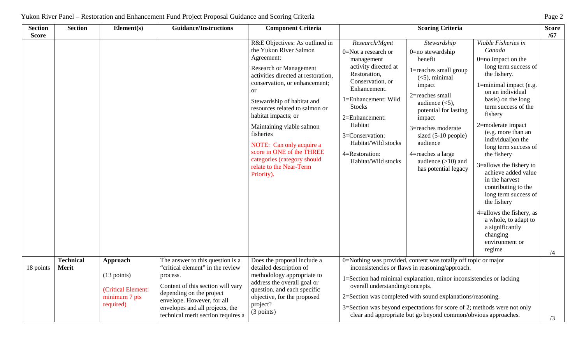| <b>Section</b><br><b>Score</b> | <b>Section</b>                   | Element(s)                                                                            | <b>Guidance/Instructions</b>                                                                                                                                                                                                                             | <b>Component Criteria</b>                                                                                                                                                                                                                                                                                                                                                                                                                                          |                                                                                                                                                                                                                                                                                        | <b>Scoring Criteria</b>                                                                                                                                                                                                                                                                                                                                                                             |                                                                                                                                                                                                                                                                                                                                                                                                                                                                                                                                                               | <b>Score</b><br>/67 |
|--------------------------------|----------------------------------|---------------------------------------------------------------------------------------|----------------------------------------------------------------------------------------------------------------------------------------------------------------------------------------------------------------------------------------------------------|--------------------------------------------------------------------------------------------------------------------------------------------------------------------------------------------------------------------------------------------------------------------------------------------------------------------------------------------------------------------------------------------------------------------------------------------------------------------|----------------------------------------------------------------------------------------------------------------------------------------------------------------------------------------------------------------------------------------------------------------------------------------|-----------------------------------------------------------------------------------------------------------------------------------------------------------------------------------------------------------------------------------------------------------------------------------------------------------------------------------------------------------------------------------------------------|---------------------------------------------------------------------------------------------------------------------------------------------------------------------------------------------------------------------------------------------------------------------------------------------------------------------------------------------------------------------------------------------------------------------------------------------------------------------------------------------------------------------------------------------------------------|---------------------|
|                                |                                  |                                                                                       |                                                                                                                                                                                                                                                          | R&E Objectives: As outlined in<br>the Yukon River Salmon<br>Agreement:<br><b>Research or Management</b><br>activities directed at restoration,<br>conservation, or enhancement;<br><sub>or</sub><br>Stewardship of habitat and<br>resources related to salmon or<br>habitat impacts; or<br>Maintaining viable salmon<br>fisheries<br>NOTE: Can only acquire a<br>score in ONE of the THREE<br>categories (category should<br>relate to the Near-Term<br>Priority). | Research/Mgmt<br>0=Not a research or<br>management<br>activity directed at<br>Restoration,<br>Conservation, or<br>Enhancement.<br>1=Enhancement: Wild<br><b>Stocks</b><br>2=Enhancement:<br>Habitat<br>3=Conservation:<br>Habitat/Wild stocks<br>4=Restoration:<br>Habitat/Wild stocks | Stewardship<br>0=no stewardship<br>benefit<br>1=reaches small group<br>$(<5)$ , minimal<br>impact<br>$2$ =reaches small<br>audience $(<5)$ ,<br>potential for lasting<br>impact<br>3=reaches moderate<br>sized (5-10 people)<br>audience<br>4=reaches a large<br>audience $(>10)$ and<br>has potential legacy                                                                                       | Viable Fisheries in<br>Canada<br>$0=$ no impact on the<br>long term success of<br>the fishery.<br>1=minimal impact (e.g.<br>on an individual<br>basis) on the long<br>term success of the<br>fishery<br>2=moderate impact<br>(e.g. more than an<br>individual) on the<br>long term success of<br>the fishery<br>3=allows the fishery to<br>achieve added value<br>in the harvest<br>contributing to the<br>long term success of<br>the fishery<br>4=allows the fishery, as<br>a whole, to adapt to<br>a significantly<br>changing<br>environment or<br>regime | /4                  |
| 18 points                      | <b>Technical</b><br><b>Merit</b> | Approach<br>$(13 \text{ points})$<br>(Critical Element:<br>minimum 7 pts<br>required) | The answer to this question is a<br>"critical element" in the review<br>process.<br>Content of this section will vary<br>depending on the project<br>envelope. However, for all<br>envelopes and all projects, the<br>technical merit section requires a | Does the proposal include a<br>detailed description of<br>methodology appropriate to<br>address the overall goal or<br>question, and each specific<br>objective, for the proposed<br>project?<br>(3 points)                                                                                                                                                                                                                                                        | overall understanding/concepts.                                                                                                                                                                                                                                                        | 0=Nothing was provided, content was totally off topic or major<br>inconsistencies or flaws in reasoning/approach.<br>1=Section had minimal explanation, minor inconsistencies or lacking<br>2=Section was completed with sound explanations/reasoning.<br>3=Section was beyond expectations for score of 2; methods were not only<br>clear and appropriate but go beyond common/obvious approaches. |                                                                                                                                                                                                                                                                                                                                                                                                                                                                                                                                                               | /3                  |

# Yukon River Panel – Restoration and Enhancement Fund Project Proposal Guidance and Scoring Criteria Page 2 Page 2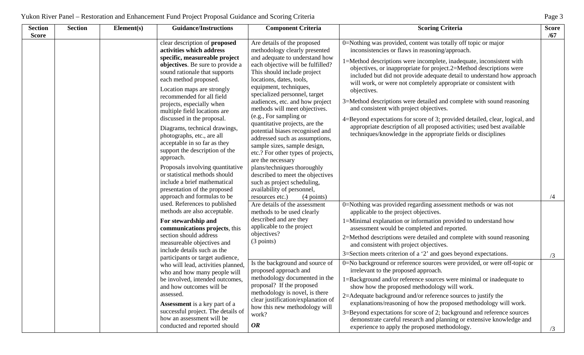| <b>Section</b><br><b>Score</b> | <b>Section</b> | Element(s)                                                                                                                                                                        | <b>Guidance/Instructions</b>                                                                                                                                                                                                                                                                                                                                                                                                                                                                                                                                                                                                                                     | <b>Component Criteria</b>                                                                                                                                                                                                                                                                                                                                                                                                                                                                                                                                                                                                                                                                                                      | <b>Scoring Criteria</b>                                                                                                                                                                                                                                                                                                                                                                                                                                                                                                                                                                                                                                                                                                                                                        | <b>Score</b><br>/67 |
|--------------------------------|----------------|-----------------------------------------------------------------------------------------------------------------------------------------------------------------------------------|------------------------------------------------------------------------------------------------------------------------------------------------------------------------------------------------------------------------------------------------------------------------------------------------------------------------------------------------------------------------------------------------------------------------------------------------------------------------------------------------------------------------------------------------------------------------------------------------------------------------------------------------------------------|--------------------------------------------------------------------------------------------------------------------------------------------------------------------------------------------------------------------------------------------------------------------------------------------------------------------------------------------------------------------------------------------------------------------------------------------------------------------------------------------------------------------------------------------------------------------------------------------------------------------------------------------------------------------------------------------------------------------------------|--------------------------------------------------------------------------------------------------------------------------------------------------------------------------------------------------------------------------------------------------------------------------------------------------------------------------------------------------------------------------------------------------------------------------------------------------------------------------------------------------------------------------------------------------------------------------------------------------------------------------------------------------------------------------------------------------------------------------------------------------------------------------------|---------------------|
|                                |                |                                                                                                                                                                                   | clear description of proposed<br>activities which address<br>specific, measureable project<br>objectives. Be sure to provide a<br>sound rationale that supports<br>each method proposed.<br>Location maps are strongly<br>recommended for all field<br>projects, especially when<br>multiple field locations are<br>discussed in the proposal.<br>Diagrams, technical drawings,<br>photographs, etc., are all<br>acceptable in so far as they<br>support the description of the<br>approach.<br>Proposals involving quantitative<br>or statistical methods should<br>include a brief mathematical<br>presentation of the proposed<br>approach and formulas to be | methodology clearly presented<br>and adequate to understand how<br>each objective will be fulfilled?<br>This should include project<br>locations, dates, tools,<br>equipment, techniques,<br>specialized personnel, target<br>audiences, etc. and how project<br>methods will meet objectives.<br>(e.g., For sampling or<br>quantitative projects, are the<br>potential biases recognised and<br>addressed such as assumptions,<br>sample sizes, sample design,<br>etc.? For other types of projects,<br>are the necessary<br>plans/techniques thoroughly<br>described to meet the objectives<br>such as project scheduling,<br>availability of personnel,<br>$(4$ points)<br>resources etc.)<br>Are details of the assessment | 0=Nothing was provided, content was totally off topic or major<br>inconsistencies or flaws in reasoning/approach.<br>1=Method descriptions were incomplete, inadequate, inconsistent with<br>objectives, or inappropriate for project.2=Method descriptions were<br>included but did not provide adequate detail to understand how approach<br>will work, or were not completely appropriate or consistent with<br>objectives.<br>3=Method descriptions were detailed and complete with sound reasoning<br>and consistent with project objectives.<br>4=Beyond expectations for score of 3; provided detailed, clear, logical, and<br>appropriate description of all proposed activities; used best available<br>techniques/knowledge in the appropriate fields or disciplines | /4                  |
|                                |                |                                                                                                                                                                                   | used. References to published<br>methods are also acceptable.<br>For stewardship and<br>communications projects, this<br>section should address<br>measureable objectives and<br>include details such as the<br>participants or target audience,<br>who will lead, activities planned,<br>who and how many people will<br>be involved, intended outcomes,                                                                                                                                                                                                                                                                                                        | methods to be used clearly<br>described and are they<br>applicable to the project<br>objectives?<br>(3 points)<br>Is the background and source of<br>proposed approach and<br>methodology documented in the                                                                                                                                                                                                                                                                                                                                                                                                                                                                                                                    | 0=Nothing was provided regarding assessment methods or was not<br>applicable to the project objectives.<br>1=Minimal explanation or information provided to understand how<br>assessment would be completed and reported.<br>2=Method descriptions were detailed and complete with sound reasoning<br>and consistent with project objectives.<br>$3 =$ Section meets criterion of a '2' and goes beyond expectations.<br>0=No background or reference sources were provided, or were off-topic or<br>irrelevant to the proposed approach.<br>1=Background and/or reference sources were minimal or inadequate to                                                                                                                                                               | /3                  |
|                                |                | and how outcomes will be<br>assessed.<br><b>Assessment</b> is a key part of a<br>successful project. The details of<br>how an assessment will be<br>conducted and reported should | proposal? If the proposed<br>methodology is novel, is there<br>clear justification/explanation of<br>how this new methodology will<br>work?<br><b>OR</b>                                                                                                                                                                                                                                                                                                                                                                                                                                                                                                         | show how the proposed methodology will work.<br>2=Adequate background and/or reference sources to justify the<br>explanations/reasoning of how the proposed methodology will work.<br>3=Beyond expectations for score of 2; background and reference sources<br>demonstrate careful research and planning or extensive knowledge and<br>experience to apply the proposed methodology.                                                                                                                                                                                                                                                                                                                                          | /3                                                                                                                                                                                                                                                                                                                                                                                                                                                                                                                                                                                                                                                                                                                                                                             |                     |

## Yukon River Panel – Restoration and Enhancement Fund Project Proposal Guidance and Scoring Criteria Page 3 Page 3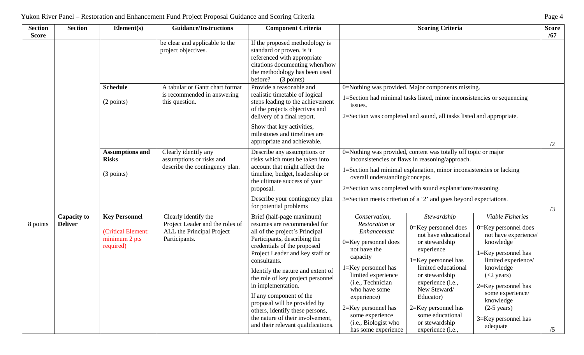| <b>Section</b><br><b>Score</b> | <b>Section</b>                       | Element(s)                                                               | <b>Guidance/Instructions</b>                                                                          | <b>Component Criteria</b>                                                                                                                                                                                                                                                                                                                                                                                                                                                            | <b>Scoring Criteria</b>                                                                                                                                                                                                                                                                                                                                                                                                                                                                                                                                                                                                                                                                                                                                                                                                                                                                                          | <b>Score</b><br>/67 |
|--------------------------------|--------------------------------------|--------------------------------------------------------------------------|-------------------------------------------------------------------------------------------------------|--------------------------------------------------------------------------------------------------------------------------------------------------------------------------------------------------------------------------------------------------------------------------------------------------------------------------------------------------------------------------------------------------------------------------------------------------------------------------------------|------------------------------------------------------------------------------------------------------------------------------------------------------------------------------------------------------------------------------------------------------------------------------------------------------------------------------------------------------------------------------------------------------------------------------------------------------------------------------------------------------------------------------------------------------------------------------------------------------------------------------------------------------------------------------------------------------------------------------------------------------------------------------------------------------------------------------------------------------------------------------------------------------------------|---------------------|
|                                |                                      |                                                                          | be clear and applicable to the<br>project objectives.                                                 | If the proposed methodology is<br>standard or proven, is it<br>referenced with appropriate<br>citations documenting when/how<br>the methodology has been used<br>before?<br>(3 points)                                                                                                                                                                                                                                                                                               |                                                                                                                                                                                                                                                                                                                                                                                                                                                                                                                                                                                                                                                                                                                                                                                                                                                                                                                  |                     |
|                                |                                      | <b>Schedule</b><br>(2 points)                                            | A tabular or Gantt chart format<br>is recommended in answering<br>this question.                      | Provide a reasonable and<br>realistic timetable of logical<br>steps leading to the achievement<br>of the projects objectives and<br>delivery of a final report.                                                                                                                                                                                                                                                                                                                      | 0=Nothing was provided. Major components missing.<br>1=Section had minimal tasks listed, minor inconsistencies or sequencing<br>issues.<br>2=Section was completed and sound, all tasks listed and appropriate.                                                                                                                                                                                                                                                                                                                                                                                                                                                                                                                                                                                                                                                                                                  |                     |
|                                |                                      |                                                                          |                                                                                                       | Show that key activities,<br>milestones and timelines are<br>appropriate and achievable.                                                                                                                                                                                                                                                                                                                                                                                             |                                                                                                                                                                                                                                                                                                                                                                                                                                                                                                                                                                                                                                                                                                                                                                                                                                                                                                                  | /2                  |
|                                |                                      | <b>Assumptions and</b><br><b>Risks</b><br>(3 points)                     | Clearly identify any<br>assumptions or risks and<br>describe the contingency plan.                    | Describe any assumptions or<br>risks which must be taken into<br>account that might affect the<br>timeline, budget, leadership or<br>the ultimate success of your<br>proposal.                                                                                                                                                                                                                                                                                                       | 0=Nothing was provided, content was totally off topic or major<br>inconsistencies or flaws in reasoning/approach.<br>1=Section had minimal explanation, minor inconsistencies or lacking<br>overall understanding/concepts.<br>2=Section was completed with sound explanations/reasoning.                                                                                                                                                                                                                                                                                                                                                                                                                                                                                                                                                                                                                        |                     |
|                                |                                      |                                                                          |                                                                                                       | Describe your contingency plan<br>for potential problems                                                                                                                                                                                                                                                                                                                                                                                                                             | 3=Section meets criterion of a '2' and goes beyond expectations.                                                                                                                                                                                                                                                                                                                                                                                                                                                                                                                                                                                                                                                                                                                                                                                                                                                 | /3                  |
| 8 points                       | <b>Capacity to</b><br><b>Deliver</b> | <b>Key Personnel</b><br>(Critical Element:<br>minimum 2 pts<br>required) | Clearly identify the<br>Project Leader and the roles of<br>ALL the Principal Project<br>Participants. | Brief (half-page maximum)<br>resumes are recommended for<br>all of the project's Principal<br>Participants, describing the<br>credentials of the proposed<br>Project Leader and key staff or<br>consultants.<br>Identify the nature and extent of<br>the role of key project personnel<br>in implementation.<br>If any component of the<br>proposal will be provided by<br>others, identify these persons,<br>the nature of their involvement,<br>and their relevant qualifications. | Viable Fisheries<br>Stewardship<br>Conservation,<br>Restoration or<br>0=Key personnel does<br>0=Key personnel does<br>Enhancement<br>not have educational<br>not have experience/<br>0=Key personnel does<br>knowledge<br>or stewardship<br>not have the<br>experience<br>$1 = Key$ personnel has<br>capacity<br>limited experience/<br>1=Key personnel has<br>limited educational<br>$1 = Key$ personnel has<br>knowledge<br>limited experience<br>or stewardship<br>$(<2$ years)<br>( <i>i.e.</i> , Technician<br>experience ( <i>i.e.</i> ,<br>$2=$ Key personnel has<br>New Steward/<br>who have some<br>some experience/<br>experience)<br>Educator)<br>knowledge<br>2=Key personnel has<br>$2=$ Key personnel has<br>$(2-5 \text{ years})$<br>some experience<br>some educational<br>3=Key personnel has<br>(i.e., Biologist who<br>or stewardship<br>adequate<br>has some experience<br>experience (i.e., | /5                  |

## Yukon River Panel – Restoration and Enhancement Fund Project Proposal Guidance and Scoring Criteria Page 4 Page 4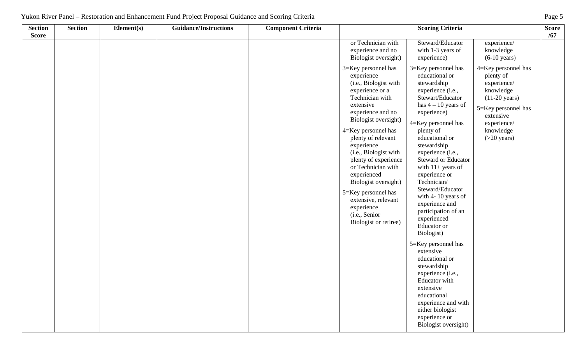| 1110<br>ukon<br>. | $P_{\text{ACl}}$<br>ำท≙l<br>TC | ihancement<br>≅toration an⊾ | ` Propos.<br><b>Projet</b><br>Fund<br>Guidance. | riteria<br>and<br>Scoring |                       | $\mathbf{a}$ |
|-------------------|--------------------------------|-----------------------------|-------------------------------------------------|---------------------------|-----------------------|--------------|
| Seetian           | saetian                        | <b>TIL</b><br>'Iamantí c    | f _midonea/Instructions                         | `ritaria<br>''Amnanant L  | Searing L<br>`ritoric | Soore        |

| <b>Section</b><br><b>Score</b> | <b>Section</b> | Element(s) | <b>Guidance/Instructions</b> | <b>Component Criteria</b> | <b>Scoring Criteria</b>                                                                                                                                                                                                                                                                                                                                                                                                                   |                                                                                                                                                                                                                                                                                                                                                                                                                                                                                                                                                                                                                                                                         |                                                                                                                                                                                      | <b>Score</b><br>/67 |
|--------------------------------|----------------|------------|------------------------------|---------------------------|-------------------------------------------------------------------------------------------------------------------------------------------------------------------------------------------------------------------------------------------------------------------------------------------------------------------------------------------------------------------------------------------------------------------------------------------|-------------------------------------------------------------------------------------------------------------------------------------------------------------------------------------------------------------------------------------------------------------------------------------------------------------------------------------------------------------------------------------------------------------------------------------------------------------------------------------------------------------------------------------------------------------------------------------------------------------------------------------------------------------------------|--------------------------------------------------------------------------------------------------------------------------------------------------------------------------------------|---------------------|
|                                |                |            |                              |                           | or Technician with<br>experience and no<br>Biologist oversight)                                                                                                                                                                                                                                                                                                                                                                           | Steward/Educator<br>with 1-3 years of<br>experience)                                                                                                                                                                                                                                                                                                                                                                                                                                                                                                                                                                                                                    | experience/<br>knowledge<br>$(6-10 \text{ years})$                                                                                                                                   |                     |
|                                |                |            |                              |                           | 3=Key personnel has<br>experience<br>(i.e., Biologist with<br>experience or a<br>Technician with<br>extensive<br>experience and no<br>Biologist oversight)<br>4=Key personnel has<br>plenty of relevant<br>experience<br>(i.e., Biologist with<br>plenty of experience<br>or Technician with<br>experienced<br>Biologist oversight)<br>5=Key personnel has<br>extensive, relevant<br>experience<br>(i.e., Senior<br>Biologist or retiree) | 3=Key personnel has<br>educational or<br>stewardship<br>experience (i.e.,<br>Stewart/Educator<br>has $4 - 10$ years of<br>experience)<br>4=Key personnel has<br>plenty of<br>educational or<br>stewardship<br>experience (i.e.,<br>Steward or Educator<br>with $11+$ years of<br>experience or<br>Technician/<br>Steward/Educator<br>with 4-10 years of<br>experience and<br>participation of an<br>experienced<br>Educator or<br>Biologist)<br>5=Key personnel has<br>extensive<br>educational or<br>stewardship<br>experience (i.e.,<br>Educator with<br>extensive<br>educational<br>experience and with<br>either biologist<br>experience or<br>Biologist oversight) | $4 =$ Key personnel has<br>plenty of<br>experience/<br>knowledge<br>$(11-20 \text{ years})$<br>5=Key personnel has<br>extensive<br>experience/<br>knowledge<br>$(>20 \text{ years})$ |                     |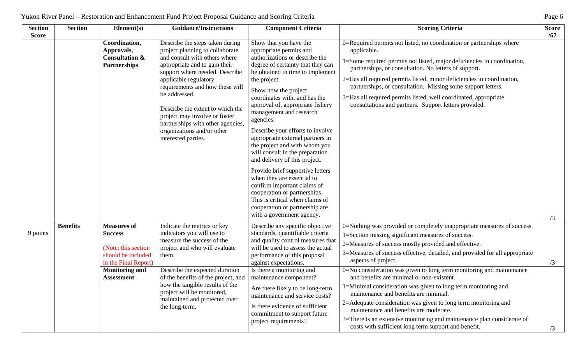| <b>Section</b><br><b>Score</b> | <b>Section</b>  | Element(s)                                                                                                | <b>Guidance/Instructions</b>                                                                                                                                                                                                                                                                                                                                                                                       | <b>Component Criteria</b>                                                                                                                                                                                                                                                                                                                                                                                                                                                                                                                                                                                                                                                                                                         | <b>Scoring Criteria</b>                                                                                                                                                                                                                                                                                                                                                                                                                                                                        | <b>Score</b><br>/67 |
|--------------------------------|-----------------|-----------------------------------------------------------------------------------------------------------|--------------------------------------------------------------------------------------------------------------------------------------------------------------------------------------------------------------------------------------------------------------------------------------------------------------------------------------------------------------------------------------------------------------------|-----------------------------------------------------------------------------------------------------------------------------------------------------------------------------------------------------------------------------------------------------------------------------------------------------------------------------------------------------------------------------------------------------------------------------------------------------------------------------------------------------------------------------------------------------------------------------------------------------------------------------------------------------------------------------------------------------------------------------------|------------------------------------------------------------------------------------------------------------------------------------------------------------------------------------------------------------------------------------------------------------------------------------------------------------------------------------------------------------------------------------------------------------------------------------------------------------------------------------------------|---------------------|
|                                |                 | Coordination,<br>Approvals,<br><b>Consultation &amp;</b><br><b>Partnerships</b>                           | Describe the steps taken during<br>project planning to collaborate<br>and consult with others where<br>appropriate and to gain their<br>support where needed. Describe<br>applicable regulatory<br>requirements and how these will<br>be addressed.<br>Describe the extent to which the<br>project may involve or foster<br>partnerships with other agencies,<br>organizations and/or other<br>interested parties. | Show that you have the<br>appropriate permits and<br>authorizations or describe the<br>degree of certainty that they can<br>be obtained in time to implement<br>the project.<br>Show how the project<br>coordinates with, and has the<br>approval of, appropriate fishery<br>management and research<br>agencies.<br>Describe your efforts to involve<br>appropriate external partners in<br>the project and with whom you<br>will consult in the preparation<br>and delivery of this project.<br>Provide brief supportive letters<br>when they are essential to<br>confirm important claims of<br>cooperation or partnerships.<br>This is critical when claims of<br>cooperation or partnership are<br>with a government agency. | 0=Required permits not listed, no coordination or partnerships where<br>applicable.<br>1=Some required permits not listed, major deficiencies in coordination,<br>partnerships, or consultation. No letters of support.<br>2=Has all required permits listed, minor deficiencies in coordination,<br>partnerships, or consultation. Missing some support letters.<br>3=Has all required permits listed, well coordinated, appropriate<br>consultations and partners. Support letters provided. | /3                  |
| 9 points                       | <b>Benefits</b> | <b>Measures of</b><br><b>Success</b><br>(Note: this section<br>should be included<br>in the Final Report) | Indicate the metrics or key<br>indicators you will use to<br>measure the success of the<br>project and who will evaluate<br>them.                                                                                                                                                                                                                                                                                  | Describe any specific objective<br>standards, quantifiable criteria<br>and quality control measures that<br>will be used to assess the actual<br>performance of this proposal<br>against expectations.                                                                                                                                                                                                                                                                                                                                                                                                                                                                                                                            | 0=Nothing was provided or completely inappropriate measures of success<br>1=Section missing significant measures of success.<br>2=Measures of success mostly provided and effective.<br>3=Measures of success effective, detailed, and provided for all appropriate<br>aspects of project.                                                                                                                                                                                                     | /3                  |
|                                |                 | <b>Monitoring and</b><br><b>Assessment</b>                                                                | Describe the expected duration<br>of the benefits of the project, and<br>how the tangible results of the<br>project will be monitored,<br>maintained and protected over<br>the long-term.                                                                                                                                                                                                                          | Is there a monitoring and<br>maintenance component?<br>Are there likely to be long-term<br>maintenance and service costs?<br>Is there evidence of sufficient<br>commitment to support future<br>project requirements?                                                                                                                                                                                                                                                                                                                                                                                                                                                                                                             | 0=No consideration was given to long term monitoring and maintenance<br>and benefits are minimal or non-existent.<br>1=Minimal consideration was given to long term monitoring and<br>maintenance and benefits are minimal.<br>2=Adequate consideration was given to long term monitoring and<br>maintenance and benefits are moderate.<br>3=There is an extensive monitoring and maintenance plan considerate of<br>costs with sufficient long term support and benefit.                      | /3                  |

## Yukon River Panel – Restoration and Enhancement Fund Project Proposal Guidance and Scoring Criteria Page 6 Page 6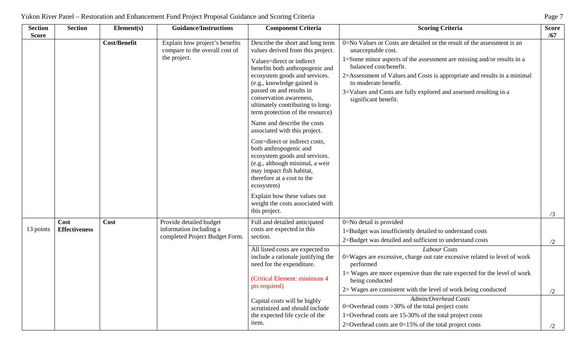| <b>Section</b><br><b>Score</b> | <b>Section</b>       | Element(s)          | <b>Guidance/Instructions</b>                                     | <b>Component Criteria</b>                                                                                                                                                                            | <b>Scoring Criteria</b>                                                                                | <b>Score</b><br>/67 |
|--------------------------------|----------------------|---------------------|------------------------------------------------------------------|------------------------------------------------------------------------------------------------------------------------------------------------------------------------------------------------------|--------------------------------------------------------------------------------------------------------|---------------------|
|                                |                      | <b>Cost/Benefit</b> | Explain how project's benefits<br>compare to the overall cost of | Describe the short and long term<br>values derived from this project.                                                                                                                                | 0=No Values or Costs are detailed or the result of the assessment is an<br>unacceptable cost.          |                     |
|                                |                      |                     | the project.                                                     | Values=direct or indirect<br>benefits both anthropogenic and                                                                                                                                         | 1=Some minor aspects of the assessment are missing and/or results in a<br>balanced cost/benefit.       |                     |
|                                |                      |                     |                                                                  | ecosystem goods and services.<br>(e.g., knowledge gained is                                                                                                                                          | 2=Assessment of Values and Costs is appropriate and results in a minimal<br>to moderate benefit.       |                     |
|                                |                      |                     |                                                                  | passed on and results in<br>conservation awareness,<br>ultimately contributing to long-<br>term protection of the resource)                                                                          | 3=Values and Costs are fully explored and assessed resulting in a<br>significant benefit.              |                     |
|                                |                      |                     |                                                                  | Name and describe the costs<br>associated with this project.                                                                                                                                         |                                                                                                        |                     |
|                                |                      |                     |                                                                  | Cost=direct or indirect costs,<br>both anthropogenic and<br>ecosystem goods and services.<br>(e.g., although minimal, a weir<br>may impact fish habitat,<br>therefore at a cost to the<br>ecosystem) |                                                                                                        |                     |
|                                |                      |                     |                                                                  | Explain how these values out<br>weight the costs associated with<br>this project.                                                                                                                    |                                                                                                        | /3                  |
|                                | Cost                 | Cost                | Provide detailed budget                                          | Full and detailed anticipated                                                                                                                                                                        | 0=No detail is provided                                                                                |                     |
| 13 points                      | <b>Effectiveness</b> |                     | information including a                                          | costs are expected in this                                                                                                                                                                           | 1=Budget was insufficiently detailed to understand costs                                               |                     |
|                                |                      |                     | completed Project Budget Form.                                   | section.                                                                                                                                                                                             | 2=Budget was detailed and sufficient to understand costs                                               | /2                  |
|                                |                      |                     |                                                                  | All listed costs are expected to<br>include a rationale justifying the<br>need for the expenditure.                                                                                                  | Labour Costs<br>0=Wages are excessive, charge out rate excessive related to level of work<br>performed |                     |
|                                |                      |                     |                                                                  | (Critical Element: minimum 4                                                                                                                                                                         | 1= Wages are more expensive than the rate expected for the level of work<br>being conducted            |                     |
|                                |                      |                     |                                                                  | pts required)                                                                                                                                                                                        | $2 =$ Wages are consistent with the level of work being conducted                                      | /2                  |
|                                |                      |                     |                                                                  | Capital costs will be highly                                                                                                                                                                         | Admin/Overhead Costs                                                                                   |                     |
|                                |                      |                     |                                                                  | scrutinized and should include                                                                                                                                                                       | 0=Overhead costs $>30\%$ of the total project costs                                                    |                     |
|                                |                      |                     |                                                                  | the expected life cycle of the<br>item.                                                                                                                                                              | 1=Overhead costs are 15-30% of the total project costs                                                 |                     |
|                                |                      |                     |                                                                  |                                                                                                                                                                                                      | 2=Overhead costs are $0<15%$ of the total project costs                                                | /2                  |

| Yukon River Panel – Restoration and Enhancement Fund Project Proposal Guidance and Scoring Criteria | Page |
|-----------------------------------------------------------------------------------------------------|------|
|-----------------------------------------------------------------------------------------------------|------|